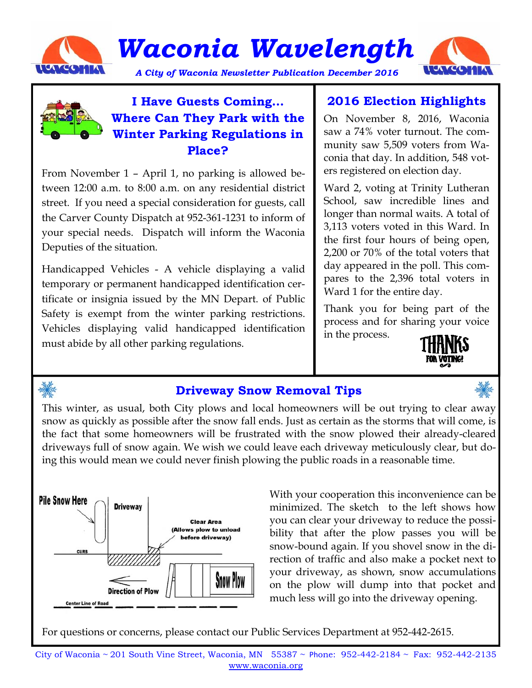

*Waconia Wavelength* 

A City of Waconia Newsletter Publication December 2016





## **I Have Guests Coming… Where Can They Park with the Winter Parking Regulations in Place?**

From November 1 – April 1, no parking is allowed between 12:00 a.m. to 8:00 a.m. on any residential district street. If you need a special consideration for guests, call the Carver County Dispatch at 952-361-1231 to inform of your special needs. Dispatch will inform the Waconia Deputies of the situation.

Handicapped Vehicles - A vehicle displaying a valid temporary or permanent handicapped identification certificate or insignia issued by the MN Depart. of Public Safety is exempt from the winter parking restrictions. Vehicles displaying valid handicapped identification must abide by all other parking regulations.

# **2016 Election Highlights**

On November 8, 2016, Waconia saw a 74% voter turnout. The community saw 5,509 voters from Waconia that day. In addition, 548 voters registered on election day.

Ward 2, voting at Trinity Lutheran School, saw incredible lines and longer than normal waits. A total of 3,113 voters voted in this Ward. In the first four hours of being open, 2,200 or 70% of the total voters that day appeared in the poll. This compares to the 2,396 total voters in Ward 1 for the entire day.

Thank you for being part of the process and for sharing your voice in the process.





## **Driveway Snow Removal Tips**

This winter, as usual, both City plows and local homeowners will be out trying to clear away snow as quickly as possible after the snow fall ends. Just as certain as the storms that will come, is the fact that some homeowners will be frustrated with the snow plowed their already-cleared driveways full of snow again. We wish we could leave each driveway meticulously clear, but doing this would mean we could never finish plowing the public roads in a reasonable time.



With your cooperation this inconvenience can be minimized. The sketch to the left shows how you can clear your driveway to reduce the possibility that after the plow passes you will be snow-bound again. If you shovel snow in the direction of traffic and also make a pocket next to your driveway, as shown, snow accumulations on the plow will dump into that pocket and much less will go into the driveway opening.

For questions or concerns, please contact our Public Services Department at 952-442-2615.